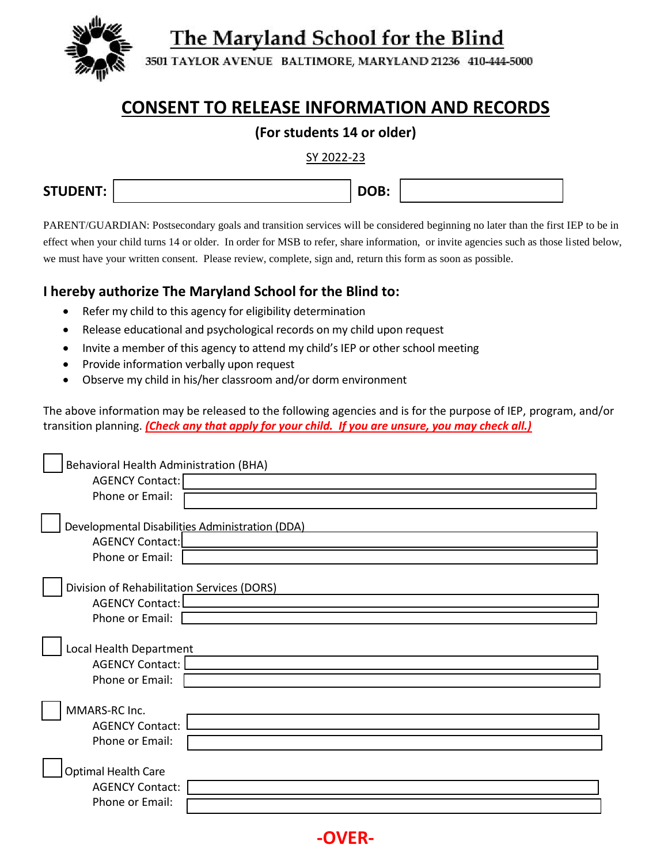The Maryland School for the Blind



3501 TAYLOR AVENUE BALTIMORE, MARYLAND 21236 410-444-5000

## **CONSENT TO RELEASE INFORMATION AND RECORDS**

## **(For students 14 or older)**

SY 2022-23

| <b>STUDENT:</b> | --- |  |
|-----------------|-----|--|
|                 |     |  |

PARENT/GUARDIAN: Postsecondary goals and transition services will be considered beginning no later than the first IEP to be in effect when your child turns 14 or older. In order for MSB to refer, share information, or invite agencies such as those listed below, we must have your written consent. Please review, complete, sign and, return this form as soon as possible.

## **I hereby authorize The Maryland School for the Blind to:**

- Refer my child to this agency for eligibility determination
- Release educational and psychological records on my child upon request
- Invite a member of this agency to attend my child's IEP or other school meeting
- Provide information verbally upon request
- Observe my child in his/her classroom and/or dorm environment

The above information may be released to the following agencies and is for the purpose of IEP, program, and/or transition planning. *(Check any that apply for your child. If you are unsure, you may check all.)*

| Behavioral Health Administration (BHA)                                                       |
|----------------------------------------------------------------------------------------------|
| AGENCY Contact:                                                                              |
| Phone or Email:                                                                              |
| Developmental Disabilities Administration (DDA)<br><b>AGENCY Contact:</b><br>Phone or Email: |
| Division of Rehabilitation Services (DORS)                                                   |
| <b>AGENCY Contact:</b>                                                                       |
| Phone or Email:                                                                              |
| Local Health Department<br><b>AGENCY Contact:</b><br>Phone or Email:                         |
| MMARS-RC Inc.                                                                                |
| <b>AGENCY Contact:</b>                                                                       |
| Phone or Email:                                                                              |
| <b>Optimal Health Care</b><br><b>AGENCY Contact:</b>                                         |
| Phone or Email:                                                                              |